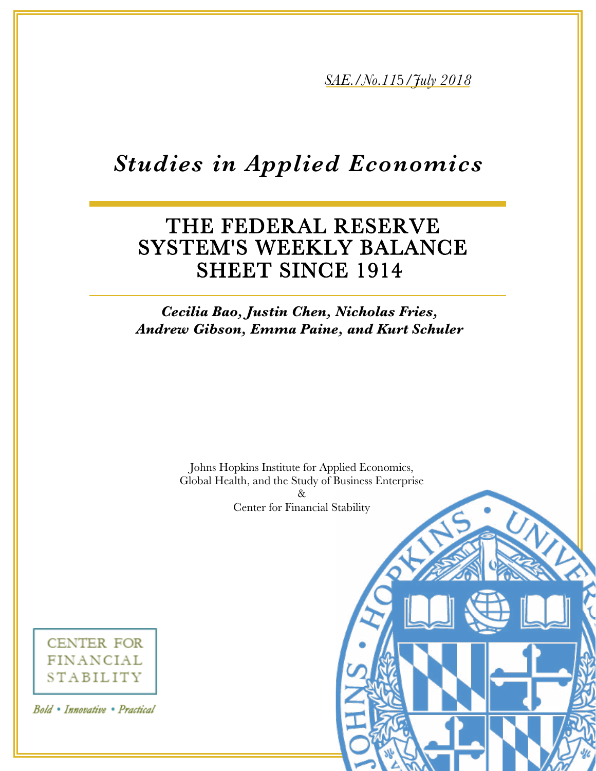*5AE./No.115/7uly* 2018

# *Studies in Applied Economics*

# THE FEDERAL RESERVE SYSTEM'S WEEKLY BALANCE SHEET SINCE 1914

# **Cecilia Bao, Justin Chen, Nicholas Fries, Andrew Gibson, Emma Paine, and Kurt Schuler**

Johns Hopkins Institute for Applied Economics, Global Health, and the Study of Business Enterprise  $\&$ Center for Financial Stability



Bold • Innovative • Practical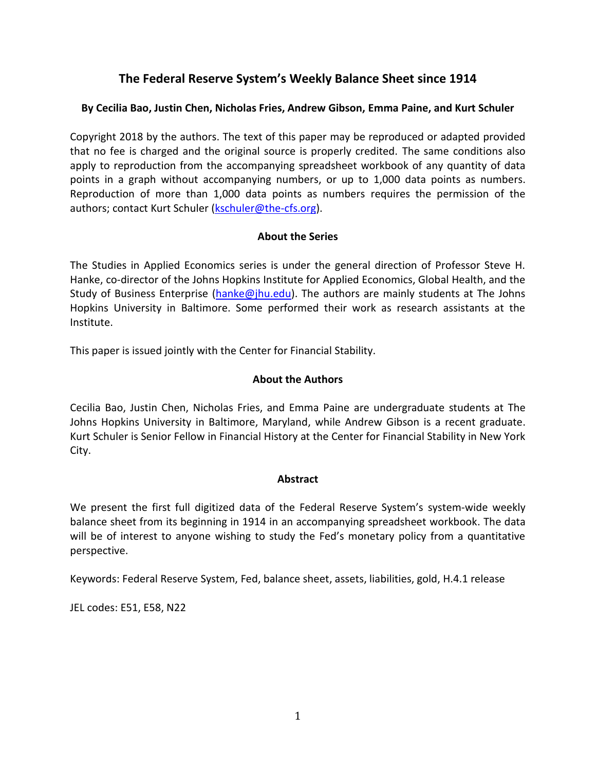# **The Federal Reserve System's Weekly Balance Sheet since 1914**

#### **By Cecilia Bao, Justin Chen, Nicholas Fries, Andrew Gibson, Emma Paine, and Kurt Schuler**

Copyright 2018 by the authors. The text of this paper may be reproduced or adapted provided that no fee is charged and the original source is properly credited. The same conditions also apply to reproduction from the accompanying spreadsheet workbook of any quantity of data points in a graph without accompanying numbers, or up to 1,000 data points as numbers. Reproduction of more than 1,000 data points as numbers requires the permission of the authors; contact Kurt Schuler [\(kschuler@the-cfs.org\)](mailto:kschuler@the-cfs.org).

#### **About the Series**

The Studies in Applied Economics series is under the general direction of Professor Steve H. Hanke, co-director of the Johns Hopkins Institute for Applied Economics, Global Health, and the Study of Business Enterprise [\(hanke@jhu.edu\)](mailto:hanke@jhu.edu). The authors are mainly students at The Johns Hopkins University in Baltimore. Some performed their work as research assistants at the Institute.

This paper is issued jointly with the Center for Financial Stability.

#### **About the Authors**

Cecilia Bao, Justin Chen, Nicholas Fries, and Emma Paine are undergraduate students at The Johns Hopkins University in Baltimore, Maryland, while Andrew Gibson is a recent graduate. Kurt Schuler is Senior Fellow in Financial History at the Center for Financial Stability in New York City.

#### **Abstract**

We present the first full digitized data of the Federal Reserve System's system-wide weekly balance sheet from its beginning in 1914 in an accompanying spreadsheet workbook. The data will be of interest to anyone wishing to study the Fed's monetary policy from a quantitative perspective.

Keywords: Federal Reserve System, Fed, balance sheet, assets, liabilities, gold, H.4.1 release

JEL codes: E51, E58, N22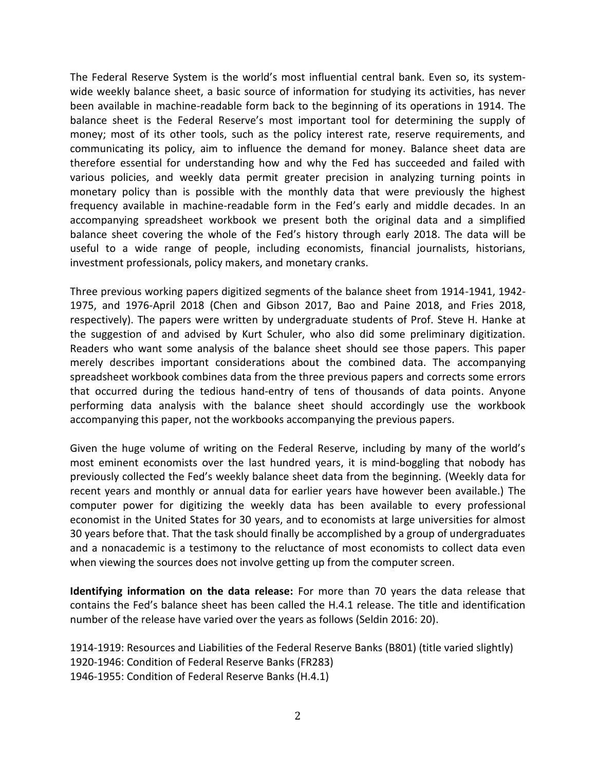The Federal Reserve System is the world's most influential central bank. Even so, its systemwide weekly balance sheet, a basic source of information for studying its activities, has never been available in machine-readable form back to the beginning of its operations in 1914. The balance sheet is the Federal Reserve's most important tool for determining the supply of money; most of its other tools, such as the policy interest rate, reserve requirements, and communicating its policy, aim to influence the demand for money. Balance sheet data are therefore essential for understanding how and why the Fed has succeeded and failed with various policies, and weekly data permit greater precision in analyzing turning points in monetary policy than is possible with the monthly data that were previously the highest frequency available in machine-readable form in the Fed's early and middle decades. In an accompanying spreadsheet workbook we present both the original data and a simplified balance sheet covering the whole of the Fed's history through early 2018. The data will be useful to a wide range of people, including economists, financial journalists, historians, investment professionals, policy makers, and monetary cranks.

Three previous working papers digitized segments of the balance sheet from 1914-1941, 1942- 1975, and 1976-April 2018 (Chen and Gibson 2017, Bao and Paine 2018, and Fries 2018, respectively). The papers were written by undergraduate students of Prof. Steve H. Hanke at the suggestion of and advised by Kurt Schuler, who also did some preliminary digitization. Readers who want some analysis of the balance sheet should see those papers. This paper merely describes important considerations about the combined data. The accompanying spreadsheet workbook combines data from the three previous papers and corrects some errors that occurred during the tedious hand-entry of tens of thousands of data points. Anyone performing data analysis with the balance sheet should accordingly use the workbook accompanying this paper, not the workbooks accompanying the previous papers.

Given the huge volume of writing on the Federal Reserve, including by many of the world's most eminent economists over the last hundred years, it is mind-boggling that nobody has previously collected the Fed's weekly balance sheet data from the beginning. (Weekly data for recent years and monthly or annual data for earlier years have however been available.) The computer power for digitizing the weekly data has been available to every professional economist in the United States for 30 years, and to economists at large universities for almost 30 years before that. That the task should finally be accomplished by a group of undergraduates and a nonacademic is a testimony to the reluctance of most economists to collect data even when viewing the sources does not involve getting up from the computer screen.

**Identifying information on the data release:** For more than 70 years the data release that contains the Fed's balance sheet has been called the H.4.1 release. The title and identification number of the release have varied over the years as follows (Seldin 2016: 20).

1914-1919: Resources and Liabilities of the Federal Reserve Banks (B801) (title varied slightly) 1920-1946: Condition of Federal Reserve Banks (FR283) 1946-1955: Condition of Federal Reserve Banks (H.4.1)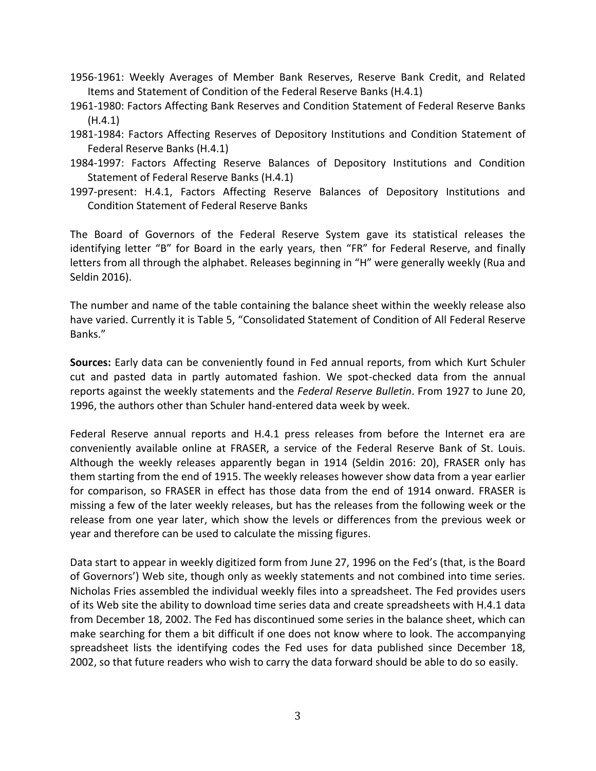- 1956-1961: Weekly Averages of Member Bank Reserves, Reserve Bank Credit, and Related Items and Statement of Condition of the Federal Reserve Banks (H.4.1)
- 1961-1980: Factors Affecting Bank Reserves and Condition Statement of Federal Reserve Banks (H.4.1)
- 1981-1984: Factors Affecting Reserves of Depository Institutions and Condition Statement of Federal Reserve Banks (H.4.1)
- 1984-1997: Factors Affecting Reserve Balances of Depository Institutions and Condition Statement of Federal Reserve Banks (H.4.1)
- 1997-present: H.4.1, Factors Affecting Reserve Balances of Depository Institutions and Condition Statement of Federal Reserve Banks

The Board of Governors of the Federal Reserve System gave its statistical releases the identifying letter "B" for Board in the early years, then "FR" for Federal Reserve, and finally letters from all through the alphabet. Releases beginning in "H" were generally weekly (Rua and Seldin 2016).

The number and name of the table containing the balance sheet within the weekly release also have varied. Currently it is Table 5, "Consolidated Statement of Condition of All Federal Reserve Banks."

**Sources:** Early data can be conveniently found in Fed annual reports, from which Kurt Schuler cut and pasted data in partly automated fashion. We spot-checked data from the annual reports against the weekly statements and the *Federal Reserve Bulletin*. From 1927 to June 20, 1996, the authors other than Schuler hand-entered data week by week.

Federal Reserve annual reports and H.4.1 press releases from before the Internet era are conveniently available online at FRASER, a service of the Federal Reserve Bank of St. Louis. Although the weekly releases apparently began in 1914 (Seldin 2016: 20), FRASER only has them starting from the end of 1915. The weekly releases however show data from a year earlier for comparison, so FRASER in effect has those data from the end of 1914 onward. FRASER is missing a few of the later weekly releases, but has the releases from the following week or the release from one year later, which show the levels or differences from the previous week or year and therefore can be used to calculate the missing figures.

Data start to appear in weekly digitized form from June 27, 1996 on the Fed's (that, is the Board of Governors') Web site, though only as weekly statements and not combined into time series. Nicholas Fries assembled the individual weekly files into a spreadsheet. The Fed provides users of its Web site the ability to download time series data and create spreadsheets with H.4.1 data from December 18, 2002. The Fed has discontinued some series in the balance sheet, which can make searching for them a bit difficult if one does not know where to look. The accompanying spreadsheet lists the identifying codes the Fed uses for data published since December 18, 2002, so that future readers who wish to carry the data forward should be able to do so easily.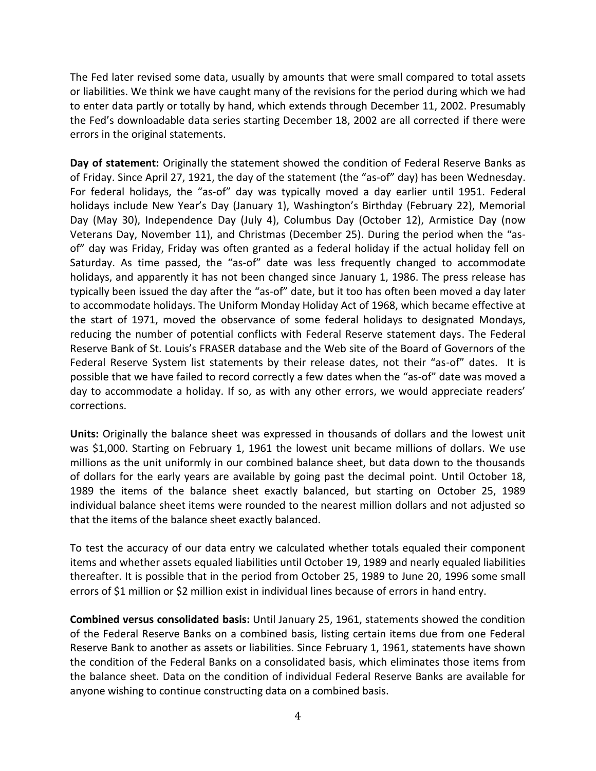The Fed later revised some data, usually by amounts that were small compared to total assets or liabilities. We think we have caught many of the revisions for the period during which we had to enter data partly or totally by hand, which extends through December 11, 2002. Presumably the Fed's downloadable data series starting December 18, 2002 are all corrected if there were errors in the original statements.

**Day of statement:** Originally the statement showed the condition of Federal Reserve Banks as of Friday. Since April 27, 1921, the day of the statement (the "as-of" day) has been Wednesday. For federal holidays, the "as-of" day was typically moved a day earlier until 1951. Federal holidays include New Year's Day (January 1), Washington's Birthday (February 22), Memorial Day (May 30), Independence Day (July 4), Columbus Day (October 12), Armistice Day (now Veterans Day, November 11), and Christmas (December 25). During the period when the "asof" day was Friday, Friday was often granted as a federal holiday if the actual holiday fell on Saturday. As time passed, the "as-of" date was less frequently changed to accommodate holidays, and apparently it has not been changed since January 1, 1986. The press release has typically been issued the day after the "as-of" date, but it too has often been moved a day later to accommodate holidays. The Uniform Monday Holiday Act of 1968, which became effective at the start of 1971, moved the observance of some federal holidays to designated Mondays, reducing the number of potential conflicts with Federal Reserve statement days. The Federal Reserve Bank of St. Louis's FRASER database and the Web site of the Board of Governors of the Federal Reserve System list statements by their release dates, not their "as-of" dates. It is possible that we have failed to record correctly a few dates when the "as-of" date was moved a day to accommodate a holiday. If so, as with any other errors, we would appreciate readers' corrections.

**Units:** Originally the balance sheet was expressed in thousands of dollars and the lowest unit was \$1,000. Starting on February 1, 1961 the lowest unit became millions of dollars. We use millions as the unit uniformly in our combined balance sheet, but data down to the thousands of dollars for the early years are available by going past the decimal point. Until October 18, 1989 the items of the balance sheet exactly balanced, but starting on October 25, 1989 individual balance sheet items were rounded to the nearest million dollars and not adjusted so that the items of the balance sheet exactly balanced.

To test the accuracy of our data entry we calculated whether totals equaled their component items and whether assets equaled liabilities until October 19, 1989 and nearly equaled liabilities thereafter. It is possible that in the period from October 25, 1989 to June 20, 1996 some small errors of \$1 million or \$2 million exist in individual lines because of errors in hand entry.

**Combined versus consolidated basis:** Until January 25, 1961, statements showed the condition of the Federal Reserve Banks on a combined basis, listing certain items due from one Federal Reserve Bank to another as assets or liabilities. Since February 1, 1961, statements have shown the condition of the Federal Banks on a consolidated basis, which eliminates those items from the balance sheet. Data on the condition of individual Federal Reserve Banks are available for anyone wishing to continue constructing data on a combined basis.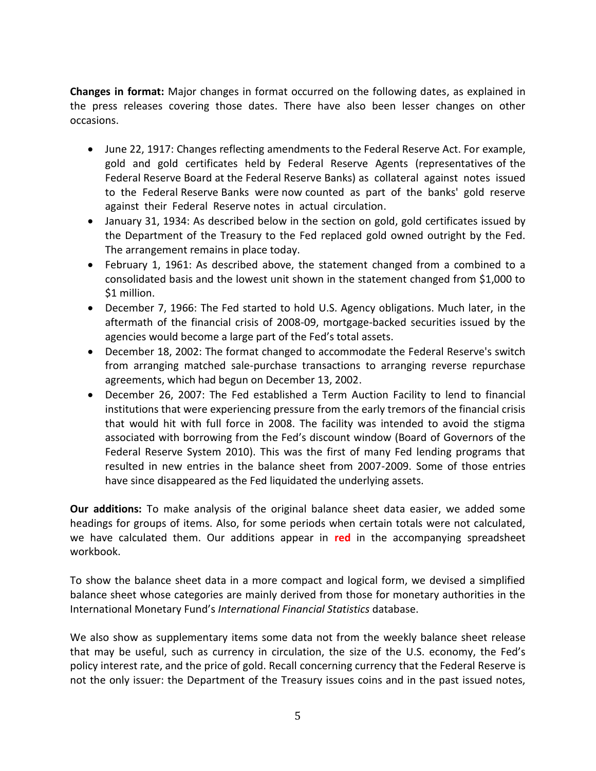**Changes in format:** Major changes in format occurred on the following dates, as explained in the press releases covering those dates. There have also been lesser changes on other occasions.

- June 22, 1917: Changes reflecting amendments to the Federal Reserve Act. For example, gold and gold certificates held by Federal Reserve Agents (representatives of the Federal Reserve Board at the Federal Reserve Banks) as collateral against notes issued to the Federal Reserve Banks were now counted as part of the banks' gold reserve against their Federal Reserve notes in actual circulation.
- January 31, 1934: As described below in the section on gold, gold certificates issued by the Department of the Treasury to the Fed replaced gold owned outright by the Fed. The arrangement remains in place today.
- February 1, 1961: As described above, the statement changed from a combined to a consolidated basis and the lowest unit shown in the statement changed from \$1,000 to \$1 million.
- December 7, 1966: The Fed started to hold U.S. Agency obligations. Much later, in the aftermath of the financial crisis of 2008-09, mortgage-backed securities issued by the agencies would become a large part of the Fed's total assets.
- December 18, 2002: The format changed to accommodate the Federal Reserve's switch from arranging matched sale-purchase transactions to arranging reverse repurchase agreements, which had begun on December 13, 2002.
- December 26, 2007: The Fed established a Term Auction Facility to lend to financial institutions that were experiencing pressure from the early tremors of the financial crisis that would hit with full force in 2008. The facility was intended to avoid the stigma associated with borrowing from the Fed's discount window (Board of Governors of the Federal Reserve System 2010). This was the first of many Fed lending programs that resulted in new entries in the balance sheet from 2007-2009. Some of those entries have since disappeared as the Fed liquidated the underlying assets.

**Our additions:** To make analysis of the original balance sheet data easier, we added some headings for groups of items. Also, for some periods when certain totals were not calculated, we have calculated them. Our additions appear in **red** in the accompanying spreadsheet workbook.

To show the balance sheet data in a more compact and logical form, we devised a simplified balance sheet whose categories are mainly derived from those for monetary authorities in the International Monetary Fund's *International Financial Statistics* database.

We also show as supplementary items some data not from the weekly balance sheet release that may be useful, such as currency in circulation, the size of the U.S. economy, the Fed's policy interest rate, and the price of gold. Recall concerning currency that the Federal Reserve is not the only issuer: the Department of the Treasury issues coins and in the past issued notes,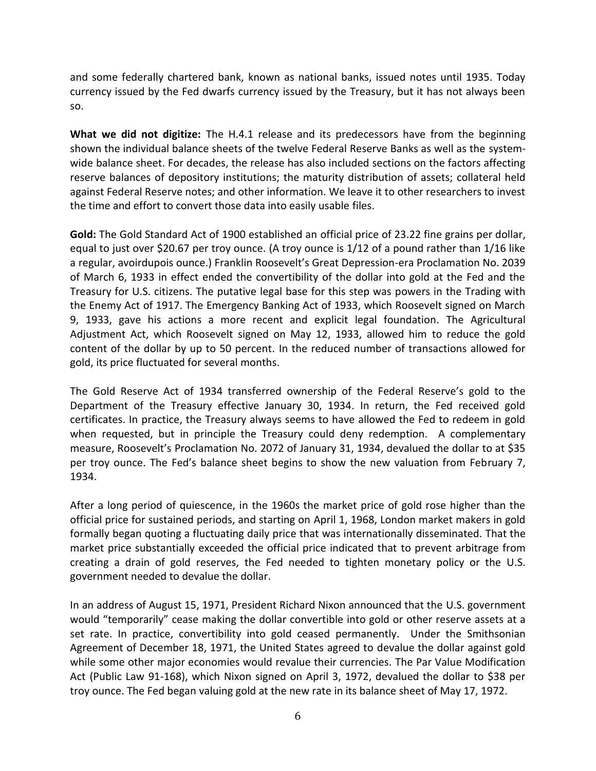and some federally chartered bank, known as national banks, issued notes until 1935. Today currency issued by the Fed dwarfs currency issued by the Treasury, but it has not always been so.

**What we did not digitize:** The H.4.1 release and its predecessors have from the beginning shown the individual balance sheets of the twelve Federal Reserve Banks as well as the systemwide balance sheet. For decades, the release has also included sections on the factors affecting reserve balances of depository institutions; the maturity distribution of assets; collateral held against Federal Reserve notes; and other information. We leave it to other researchers to invest the time and effort to convert those data into easily usable files.

**Gold:** The Gold Standard Act of 1900 established an official price of 23.22 fine grains per dollar, equal to just over \$20.67 per troy ounce. (A troy ounce is 1/12 of a pound rather than 1/16 like a regular, avoirdupois ounce.) Franklin Roosevelt's Great Depression-era Proclamation No. 2039 of March 6, 1933 in effect ended the convertibility of the dollar into gold at the Fed and the Treasury for U.S. citizens. The putative legal base for this step was powers in the Trading with the Enemy Act of 1917. The Emergency Banking Act of 1933, which Roosevelt signed on March 9, 1933, gave his actions a more recent and explicit legal foundation. The Agricultural Adjustment Act, which Roosevelt signed on May 12, 1933, allowed him to reduce the gold content of the dollar by up to 50 percent. In the reduced number of transactions allowed for gold, its price fluctuated for several months.

The Gold Reserve Act of 1934 transferred ownership of the Federal Reserve's gold to the Department of the Treasury effective January 30, 1934. In return, the Fed received gold certificates. In practice, the Treasury always seems to have allowed the Fed to redeem in gold when requested, but in principle the Treasury could deny redemption. A complementary measure, Roosevelt's Proclamation No. 2072 of January 31, 1934, devalued the dollar to at \$35 per troy ounce. The Fed's balance sheet begins to show the new valuation from February 7, 1934.

After a long period of quiescence, in the 1960s the market price of gold rose higher than the official price for sustained periods, and starting on April 1, 1968, London market makers in gold formally began quoting a fluctuating daily price that was internationally disseminated. That the market price substantially exceeded the official price indicated that to prevent arbitrage from creating a drain of gold reserves, the Fed needed to tighten monetary policy or the U.S. government needed to devalue the dollar.

In an address of August 15, 1971, President Richard Nixon announced that the U.S. government would "temporarily" cease making the dollar convertible into gold or other reserve assets at a set rate. In practice, convertibility into gold ceased permanently. Under the Smithsonian Agreement of December 18, 1971, the United States agreed to devalue the dollar against gold while some other major economies would revalue their currencies. The Par Value Modification Act (Public Law 91-168), which Nixon signed on April 3, 1972, devalued the dollar to \$38 per troy ounce. The Fed began valuing gold at the new rate in its balance sheet of May 17, 1972.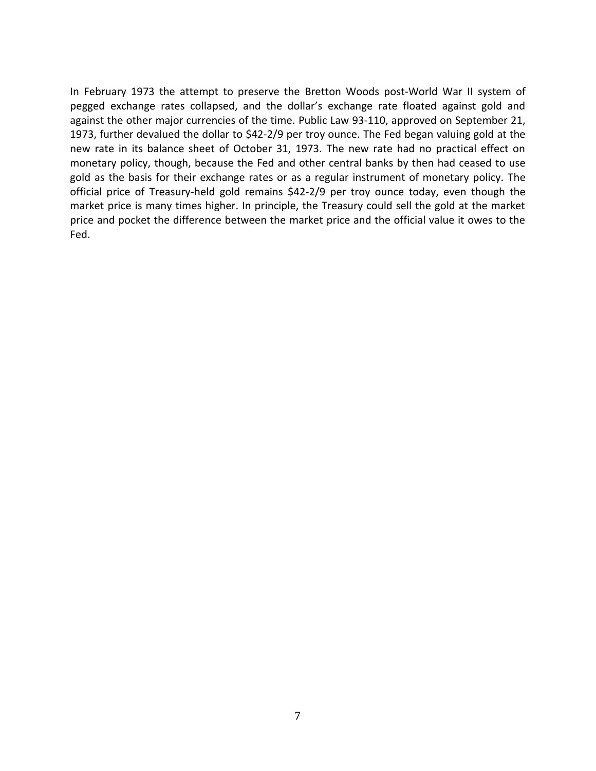In February 1973 the attempt to preserve the Bretton Woods post-World War II system of pegged exchange rates collapsed, and the dollar's exchange rate floated against gold and against the other major currencies of the time. Public Law 93-110, approved on September 21, 1973, further devalued the dollar to \$42-2/9 per troy ounce. The Fed began valuing gold at the new rate in its balance sheet of October 31, 1973. The new rate had no practical effect on monetary policy, though, because the Fed and other central banks by then had ceased to use gold as the basis for their exchange rates or as a regular instrument of monetary policy. The official price of Treasury-held gold remains \$42-2/9 per troy ounce today, even though the market price is many times higher. In principle, the Treasury could sell the gold at the market price and pocket the difference between the market price and the official value it owes to the Fed.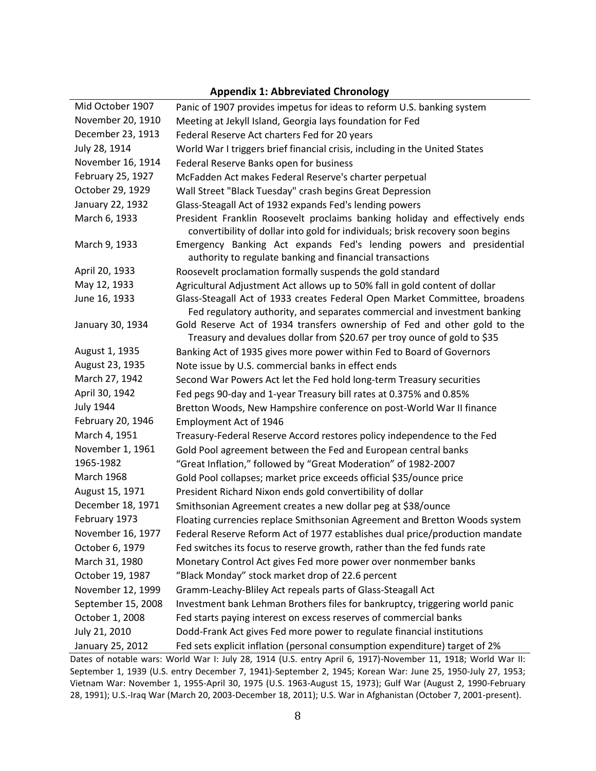| Mid October 1907   | Panic of 1907 provides impetus for ideas to reform U.S. banking system                                                                                        |  |
|--------------------|---------------------------------------------------------------------------------------------------------------------------------------------------------------|--|
| November 20, 1910  | Meeting at Jekyll Island, Georgia lays foundation for Fed                                                                                                     |  |
| December 23, 1913  | Federal Reserve Act charters Fed for 20 years                                                                                                                 |  |
| July 28, 1914      | World War I triggers brief financial crisis, including in the United States                                                                                   |  |
| November 16, 1914  | Federal Reserve Banks open for business                                                                                                                       |  |
| February 25, 1927  | McFadden Act makes Federal Reserve's charter perpetual                                                                                                        |  |
| October 29, 1929   | Wall Street "Black Tuesday" crash begins Great Depression                                                                                                     |  |
| January 22, 1932   | Glass-Steagall Act of 1932 expands Fed's lending powers                                                                                                       |  |
| March 6, 1933      | President Franklin Roosevelt proclaims banking holiday and effectively ends<br>convertibility of dollar into gold for individuals; brisk recovery soon begins |  |
| March 9, 1933      | Emergency Banking Act expands Fed's lending powers and presidential<br>authority to regulate banking and financial transactions                               |  |
| April 20, 1933     | Roosevelt proclamation formally suspends the gold standard                                                                                                    |  |
| May 12, 1933       | Agricultural Adjustment Act allows up to 50% fall in gold content of dollar                                                                                   |  |
| June 16, 1933      | Glass-Steagall Act of 1933 creates Federal Open Market Committee, broadens<br>Fed regulatory authority, and separates commercial and investment banking       |  |
| January 30, 1934   | Gold Reserve Act of 1934 transfers ownership of Fed and other gold to the<br>Treasury and devalues dollar from \$20.67 per troy ounce of gold to \$35         |  |
| August 1, 1935     | Banking Act of 1935 gives more power within Fed to Board of Governors                                                                                         |  |
| August 23, 1935    | Note issue by U.S. commercial banks in effect ends                                                                                                            |  |
| March 27, 1942     | Second War Powers Act let the Fed hold long-term Treasury securities                                                                                          |  |
| April 30, 1942     | Fed pegs 90-day and 1-year Treasury bill rates at 0.375% and 0.85%                                                                                            |  |
| <b>July 1944</b>   | Bretton Woods, New Hampshire conference on post-World War II finance                                                                                          |  |
| February 20, 1946  | Employment Act of 1946                                                                                                                                        |  |
| March 4, 1951      | Treasury-Federal Reserve Accord restores policy independence to the Fed                                                                                       |  |
| November 1, 1961   | Gold Pool agreement between the Fed and European central banks                                                                                                |  |
| 1965-1982          | "Great Inflation," followed by "Great Moderation" of 1982-2007                                                                                                |  |
| <b>March 1968</b>  | Gold Pool collapses; market price exceeds official \$35/ounce price                                                                                           |  |
| August 15, 1971    | President Richard Nixon ends gold convertibility of dollar                                                                                                    |  |
| December 18, 1971  | Smithsonian Agreement creates a new dollar peg at \$38/ounce                                                                                                  |  |
| February 1973      | Floating currencies replace Smithsonian Agreement and Bretton Woods system                                                                                    |  |
| November 16, 1977  | Federal Reserve Reform Act of 1977 establishes dual price/production mandate                                                                                  |  |
| October 6, 1979    | Fed switches its focus to reserve growth, rather than the fed funds rate                                                                                      |  |
| March 31, 1980     | Monetary Control Act gives Fed more power over nonmember banks                                                                                                |  |
| October 19, 1987   | "Black Monday" stock market drop of 22.6 percent                                                                                                              |  |
| November 12, 1999  | Gramm-Leachy-Bliley Act repeals parts of Glass-Steagall Act                                                                                                   |  |
| September 15, 2008 | Investment bank Lehman Brothers files for bankruptcy, triggering world panic                                                                                  |  |
| October 1, 2008    | Fed starts paying interest on excess reserves of commercial banks                                                                                             |  |
| July 21, 2010      | Dodd-Frank Act gives Fed more power to regulate financial institutions                                                                                        |  |
| January 25, 2012   | Fed sets explicit inflation (personal consumption expenditure) target of 2%                                                                                   |  |

### **Appendix 1: Abbreviated Chronology**

Dates of notable wars: World War I: July 28, 1914 (U.S. entry April 6, 1917)-November 11, 1918; World War II: September 1, 1939 (U.S. entry December 7, 1941)-September 2, 1945; Korean War: June 25, 1950-July 27, 1953; Vietnam War: November 1, 1955-April 30, 1975 (U.S. 1963-August 15, 1973); Gulf War (August 2, 1990-February 28, 1991); U.S.-Iraq War (March 20, 2003-December 18, 2011); U.S. War in Afghanistan (October 7, 2001-present).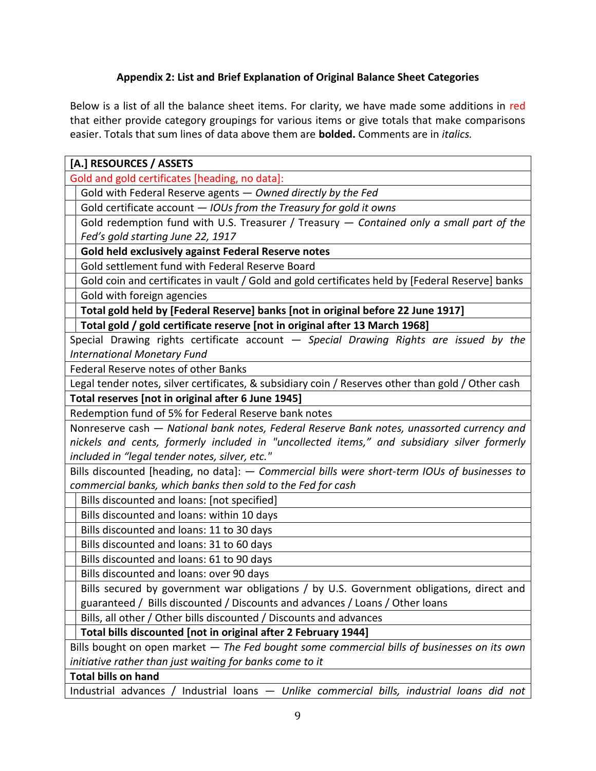# **Appendix 2: List and Brief Explanation of Original Balance Sheet Categories**

Below is a list of all the balance sheet items. For clarity, we have made some additions in red that either provide category groupings for various items or give totals that make comparisons easier. Totals that sum lines of data above them are **bolded.** Comments are in *italics.*

| [A.] RESOURCES / ASSETS                                                                            |  |  |
|----------------------------------------------------------------------------------------------------|--|--|
| Gold and gold certificates [heading, no data]:                                                     |  |  |
| Gold with Federal Reserve agents - Owned directly by the Fed                                       |  |  |
| Gold certificate account - IOUs from the Treasury for gold it owns                                 |  |  |
| Gold redemption fund with U.S. Treasurer / Treasury - Contained only a small part of the           |  |  |
| Fed's gold starting June 22, 1917                                                                  |  |  |
| Gold held exclusively against Federal Reserve notes                                                |  |  |
| Gold settlement fund with Federal Reserve Board                                                    |  |  |
| Gold coin and certificates in vault / Gold and gold certificates held by [Federal Reserve] banks   |  |  |
| Gold with foreign agencies                                                                         |  |  |
| Total gold held by [Federal Reserve] banks [not in original before 22 June 1917]                   |  |  |
| Total gold / gold certificate reserve [not in original after 13 March 1968]                        |  |  |
| Special Drawing rights certificate account - Special Drawing Rights are issued by the              |  |  |
| <b>International Monetary Fund</b>                                                                 |  |  |
| Federal Reserve notes of other Banks                                                               |  |  |
| Legal tender notes, silver certificates, & subsidiary coin / Reserves other than gold / Other cash |  |  |
| Total reserves [not in original after 6 June 1945]                                                 |  |  |
| Redemption fund of 5% for Federal Reserve bank notes                                               |  |  |
| Nonreserve cash — National bank notes, Federal Reserve Bank notes, unassorted currency and         |  |  |
| nickels and cents, formerly included in "uncollected items," and subsidiary silver formerly        |  |  |
| included in "legal tender notes, silver, etc."                                                     |  |  |
| Bills discounted [heading, no data]: - Commercial bills were short-term IOUs of businesses to      |  |  |
| commercial banks, which banks then sold to the Fed for cash                                        |  |  |
| Bills discounted and loans: [not specified]                                                        |  |  |
| Bills discounted and loans: within 10 days                                                         |  |  |
| Bills discounted and loans: 11 to 30 days                                                          |  |  |
| Bills discounted and loans: 31 to 60 days                                                          |  |  |
| Bills discounted and loans: 61 to 90 days                                                          |  |  |
| Bills discounted and loans: over 90 days                                                           |  |  |
| Bills secured by government war obligations / by U.S. Government obligations, direct and           |  |  |
| guaranteed / Bills discounted / Discounts and advances / Loans / Other loans                       |  |  |
| Bills, all other / Other bills discounted / Discounts and advances                                 |  |  |
| Total bills discounted [not in original after 2 February 1944]                                     |  |  |
| Bills bought on open market - The Fed bought some commercial bills of businesses on its own        |  |  |
| initiative rather than just waiting for banks come to it                                           |  |  |
| <b>Total bills on hand</b>                                                                         |  |  |
| Industrial loans - Unlike commercial bills, industrial loans did not<br>Industrial advances        |  |  |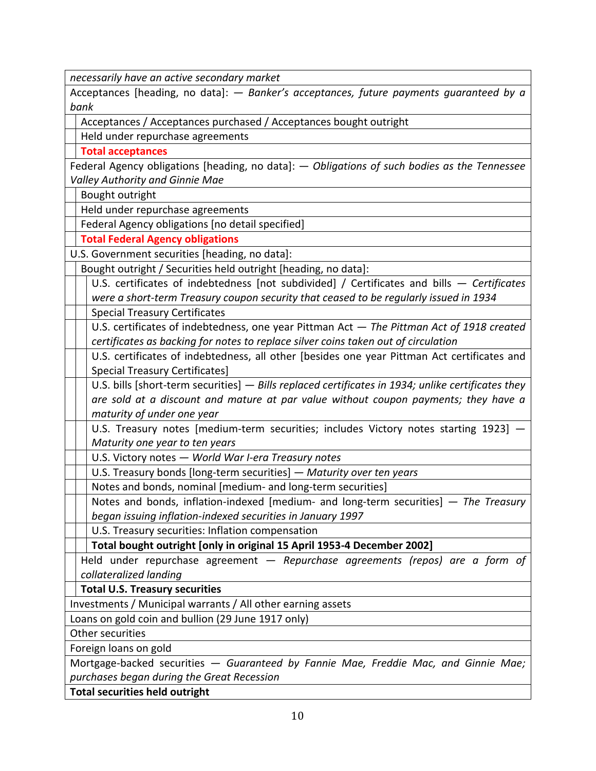*necessarily have an active secondary market*

Acceptances [heading, no data]: *— Banker's acceptances, future payments guaranteed by a bank*

Acceptances / Acceptances purchased / Acceptances bought outright

Held under repurchase agreements

**Total acceptances**

Federal Agency obligations [heading, no data]: *— Obligations of such bodies as the Tennessee Valley Authority and Ginnie Mae*

Bought outright

Held under repurchase agreements

Federal Agency obligations [no detail specified]

**Total Federal Agency obligations**

U.S. Government securities [heading, no data]:

Bought outright / Securities held outright [heading, no data]:

U.S. certificates of indebtedness [not subdivided] / Certificates and bills *— Certificates were a short-term Treasury coupon security that ceased to be regularly issued in 1934*

Special Treasury Certificates

U.S. certificates of indebtedness, one year Pittman Act *— The Pittman Act of 1918 created certificates as backing for notes to replace silver coins taken out of circulation*

U.S. certificates of indebtedness, all other [besides one year Pittman Act certificates and Special Treasury Certificates]

U.S. bills [short-term securities] *— Bills replaced certificates in 1934; unlike certificates they are sold at a discount and mature at par value without coupon payments; they have a maturity of under one year*

U.S. Treasury notes [medium-term securities; includes Victory notes starting 1923] *— Maturity one year to ten years*

U.S. Victory notes *— World War I-era Treasury notes*

U.S. Treasury bonds [long-term securities] *— Maturity over ten years*

Notes and bonds, nominal [medium- and long-term securities]

Notes and bonds, inflation-indexed [medium- and long-term securities] *— The Treasury began issuing inflation-indexed securities in January 1997*

U.S. Treasury securities: Inflation compensation

**Total bought outright [only in original 15 April 1953-4 December 2002]**

Held under repurchase agreement *— Repurchase agreements (repos) are a form of collateralized landing*

**Total U.S. Treasury securities** 

Investments / Municipal warrants / All other earning assets

Loans on gold coin and bullion (29 June 1917 only)

Other securities

Foreign loans on gold

Mortgage-backed securities *— Guaranteed by Fannie Mae, Freddie Mac, and Ginnie Mae; purchases began during the Great Recession*

**Total securities held outright**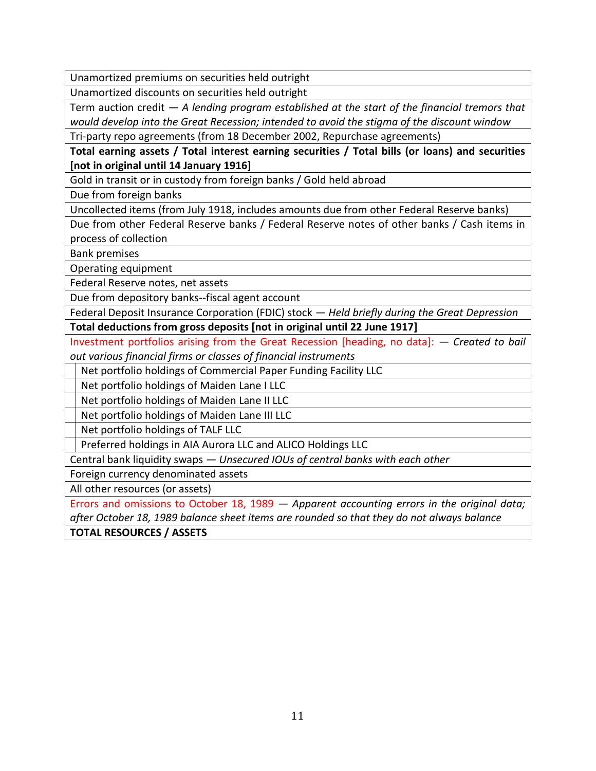Unamortized premiums on securities held outright

Unamortized discounts on securities held outright

Term auction credit *— A lending program established at the start of the financial tremors that would develop into the Great Recession; intended to avoid the stigma of the discount window*

Tri-party repo agreements (from 18 December 2002, Repurchase agreements)

**Total earning assets / Total interest earning securities / Total bills (or loans) and securities [not in original until 14 January 1916]**

Gold in transit or in custody from foreign banks / Gold held abroad

Due from foreign banks

Uncollected items (from July 1918, includes amounts due from other Federal Reserve banks)

Due from other Federal Reserve banks / Federal Reserve notes of other banks / Cash items in process of collection

Bank premises

Operating equipment

Federal Reserve notes, net assets

Due from depository banks--fiscal agent account

Federal Deposit Insurance Corporation (FDIC) stock *— Held briefly during the Great Depression* **Total deductions from gross deposits [not in original until 22 June 1917]**

Investment portfolios arising from the Great Recession [heading, no data]: *— Created to bail out various financial firms or classes of financial instruments*

Net portfolio holdings of Commercial Paper Funding Facility LLC

Net portfolio holdings of Maiden Lane I LLC

Net portfolio holdings of Maiden Lane II LLC

Net portfolio holdings of Maiden Lane III LLC

Net portfolio holdings of TALF LLC

Preferred holdings in AIA Aurora LLC and ALICO Holdings LLC

Central bank liquidity swaps *— Unsecured IOUs of central banks with each other*

Foreign currency denominated assets

All other resources (or assets)

Errors and omissions to October 18, 1989 *— Apparent accounting errors in the original data; after October 18, 1989 balance sheet items are rounded so that they do not always balance* **TOTAL RESOURCES / ASSETS**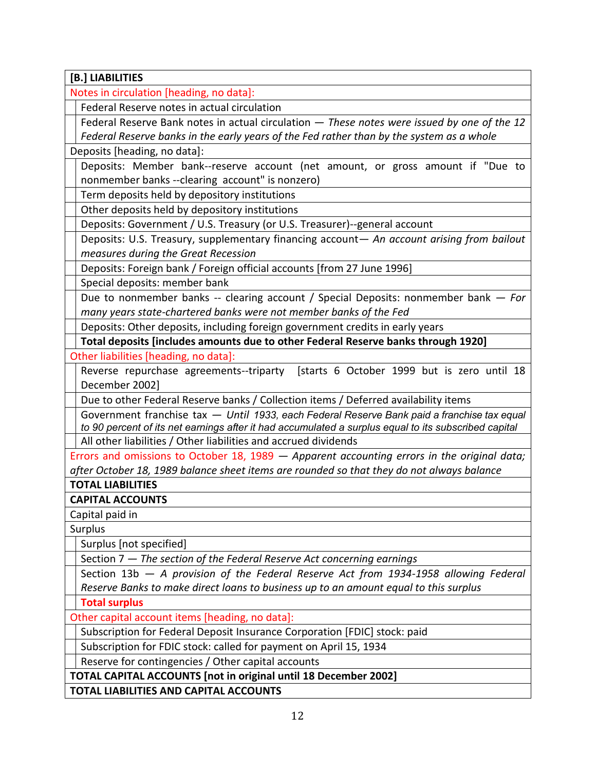| [B.] LIABILITIES                                                                                                             |  |  |
|------------------------------------------------------------------------------------------------------------------------------|--|--|
| Notes in circulation [heading, no data]:                                                                                     |  |  |
| Federal Reserve notes in actual circulation                                                                                  |  |  |
| Federal Reserve Bank notes in actual circulation - These notes were issued by one of the 12                                  |  |  |
| Federal Reserve banks in the early years of the Fed rather than by the system as a whole                                     |  |  |
| Deposits [heading, no data]:                                                                                                 |  |  |
| Deposits: Member bank--reserve account (net amount, or gross amount if "Due to                                               |  |  |
| nonmember banks --clearing account" is nonzero)                                                                              |  |  |
| Term deposits held by depository institutions                                                                                |  |  |
| Other deposits held by depository institutions                                                                               |  |  |
| Deposits: Government / U.S. Treasury (or U.S. Treasurer)--general account                                                    |  |  |
| Deposits: U.S. Treasury, supplementary financing account- An account arising from bailout                                    |  |  |
| measures during the Great Recession                                                                                          |  |  |
| Deposits: Foreign bank / Foreign official accounts [from 27 June 1996]                                                       |  |  |
| Special deposits: member bank                                                                                                |  |  |
| Due to nonmember banks -- clearing account / Special Deposits: nonmember bank - For                                          |  |  |
| many years state-chartered banks were not member banks of the Fed                                                            |  |  |
| Deposits: Other deposits, including foreign government credits in early years                                                |  |  |
| Total deposits [includes amounts due to other Federal Reserve banks through 1920]                                            |  |  |
| Other liabilities [heading, no data]:                                                                                        |  |  |
| Reverse repurchase agreements--triparty [starts 6 October 1999 but is zero until 18                                          |  |  |
| December 2002]                                                                                                               |  |  |
| Due to other Federal Reserve banks / Collection items / Deferred availability items                                          |  |  |
| Government franchise tax - Until 1933, each Federal Reserve Bank paid a franchise tax equal                                  |  |  |
| to 90 percent of its net earnings after it had accumulated a surplus equal to its subscribed capital                         |  |  |
| All other liabilities / Other liabilities and accrued dividends                                                              |  |  |
| Errors and omissions to October 18, 1989 $-$ Apparent accounting errors in the original data;                                |  |  |
| after October 18, 1989 balance sheet items are rounded so that they do not always balance                                    |  |  |
| <b>TOTAL LIABILITIES</b>                                                                                                     |  |  |
| <b>CAPITAL ACCOUNTS</b>                                                                                                      |  |  |
| Capital paid in                                                                                                              |  |  |
| Surplus                                                                                                                      |  |  |
| Surplus [not specified]                                                                                                      |  |  |
| Section 7 - The section of the Federal Reserve Act concerning earnings                                                       |  |  |
| Section $13b - A$ provision of the Federal Reserve Act from 1934-1958 allowing Federal                                       |  |  |
| Reserve Banks to make direct loans to business up to an amount equal to this surplus                                         |  |  |
| <b>Total surplus</b>                                                                                                         |  |  |
| Other capital account items [heading, no data]:                                                                              |  |  |
| Subscription for Federal Deposit Insurance Corporation [FDIC] stock: paid                                                    |  |  |
| Subscription for FDIC stock: called for payment on April 15, 1934                                                            |  |  |
| Reserve for contingencies / Other capital accounts<br><b>TOTAL CAPITAL ACCOUNTS [not in original until 18 December 2002]</b> |  |  |
|                                                                                                                              |  |  |
| TOTAL LIABILITIES AND CAPITAL ACCOUNTS                                                                                       |  |  |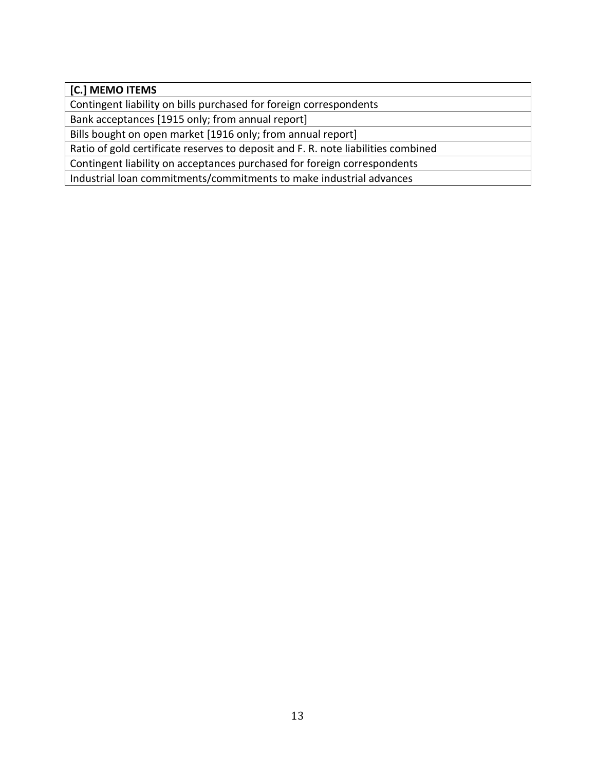# **[C.] MEMO ITEMS**

Contingent liability on bills purchased for foreign correspondents

Bank acceptances [1915 only; from annual report]

Bills bought on open market [1916 only; from annual report]

Ratio of gold certificate reserves to deposit and F. R. note liabilities combined

Contingent liability on acceptances purchased for foreign correspondents

Industrial loan commitments/commitments to make industrial advances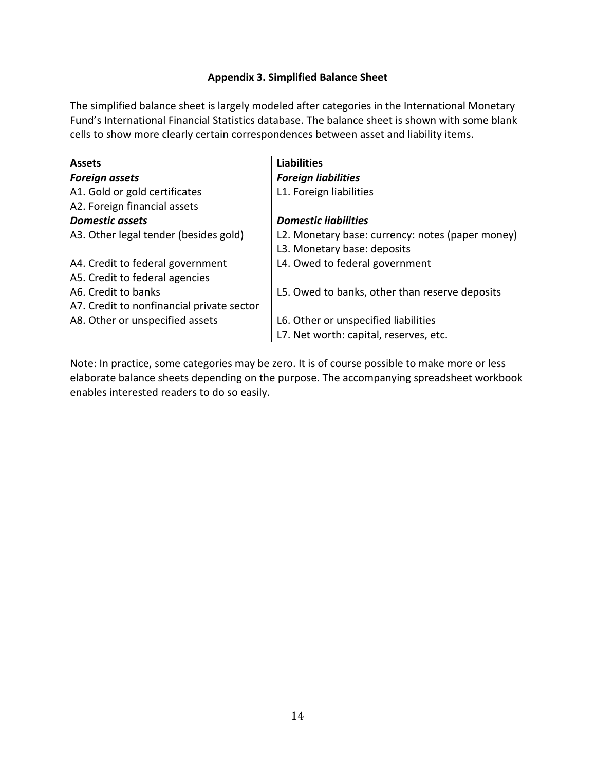## **Appendix 3. Simplified Balance Sheet**

The simplified balance sheet is largely modeled after categories in the International Monetary Fund's International Financial Statistics database. The balance sheet is shown with some blank cells to show more clearly certain correspondences between asset and liability items.

| <b>Assets</b>                             | <b>Liabilities</b>                               |
|-------------------------------------------|--------------------------------------------------|
| <b>Foreign assets</b>                     | <b>Foreign liabilities</b>                       |
| A1. Gold or gold certificates             | L1. Foreign liabilities                          |
| A2. Foreign financial assets              |                                                  |
| <b>Domestic assets</b>                    | <b>Domestic liabilities</b>                      |
| A3. Other legal tender (besides gold)     | L2. Monetary base: currency: notes (paper money) |
|                                           | L3. Monetary base: deposits                      |
| A4. Credit to federal government          | L4. Owed to federal government                   |
| A5. Credit to federal agencies            |                                                  |
| A6. Credit to banks                       | L5. Owed to banks, other than reserve deposits   |
| A7. Credit to nonfinancial private sector |                                                  |
| A8. Other or unspecified assets           | L6. Other or unspecified liabilities             |
|                                           | L7. Net worth: capital, reserves, etc.           |

Note: In practice, some categories may be zero. It is of course possible to make more or less elaborate balance sheets depending on the purpose. The accompanying spreadsheet workbook enables interested readers to do so easily.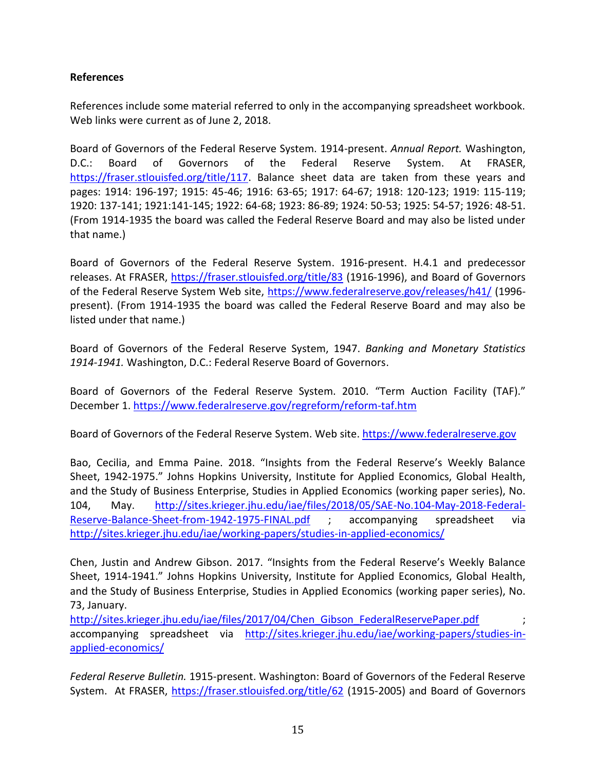## **References**

References include some material referred to only in the accompanying spreadsheet workbook. Web links were current as of June 2, 2018.

Board of Governors of the Federal Reserve System. 1914-present. *Annual Report.* Washington, D.C.: Board of Governors of the Federal Reserve System. At FRASER, [https://fraser.stlouisfed.org/title/117.](https://fraser.stlouisfed.org/title/117) Balance sheet data are taken from these years and pages: 1914: 196-197; 1915: 45-46; 1916: 63-65; 1917: 64-67; 1918: 120-123; 1919: 115-119; 1920: 137-141; 1921:141-145; 1922: 64-68; 1923: 86-89; 1924: 50-53; 1925: 54-57; 1926: 48-51. (From 1914-1935 the board was called the Federal Reserve Board and may also be listed under that name.)

Board of Governors of the Federal Reserve System. 1916-present. H.4.1 and predecessor releases. At FRASER,<https://fraser.stlouisfed.org/title/83> (1916-1996), and Board of Governors of the Federal Reserve System Web site,<https://www.federalreserve.gov/releases/h41/> (1996 present). (From 1914-1935 the board was called the Federal Reserve Board and may also be listed under that name.)

Board of Governors of the Federal Reserve System, 1947. *Banking and Monetary Statistics 1914-1941.* Washington, D.C.: Federal Reserve Board of Governors.

Board of Governors of the Federal Reserve System. 2010. "Term Auction Facility (TAF)." December 1.<https://www.federalreserve.gov/regreform/reform-taf.htm>

Board of Governors of the Federal Reserve System. Web site. [https://www.federalreserve.gov](https://www.federalreserve.gov/)

Bao, Cecilia, and Emma Paine. 2018. "Insights from the Federal Reserve's Weekly Balance Sheet, 1942-1975." Johns Hopkins University, Institute for Applied Economics, Global Health, and the Study of Business Enterprise, Studies in Applied Economics (working paper series), No. 104, May. [http://sites.krieger.jhu.edu/iae/files/2018/05/SAE-No.104-May-2018-Federal-](http://sites.krieger.jhu.edu/iae/files/2018/05/SAE-No.104-May-2018-Federal-Reserve-Balance-Sheet-from-1942-1975-FINAL.pdf)[Reserve-Balance-Sheet-from-1942-1975-FINAL.pdf](http://sites.krieger.jhu.edu/iae/files/2018/05/SAE-No.104-May-2018-Federal-Reserve-Balance-Sheet-from-1942-1975-FINAL.pdf) ; accompanying spreadsheet via <http://sites.krieger.jhu.edu/iae/working-papers/studies-in-applied-economics/>

Chen, Justin and Andrew Gibson. 2017. "Insights from the Federal Reserve's Weekly Balance Sheet, 1914-1941." Johns Hopkins University, Institute for Applied Economics, Global Health, and the Study of Business Enterprise, Studies in Applied Economics (working paper series), No. 73, January.

http://sites.krieger.jhu.edu/iae/files/2017/04/Chen Gibson FederalReservePaper.pdf accompanying spreadsheet via [http://sites.krieger.jhu.edu/iae/working-papers/studies-in](http://sites.krieger.jhu.edu/iae/working-papers/studies-in-applied-economics/)[applied-economics/](http://sites.krieger.jhu.edu/iae/working-papers/studies-in-applied-economics/) 

*Federal Reserve Bulletin.* 1915-present. Washington: Board of Governors of the Federal Reserve System. At FRASER,<https://fraser.stlouisfed.org/title/62> (1915-2005) and Board of Governors